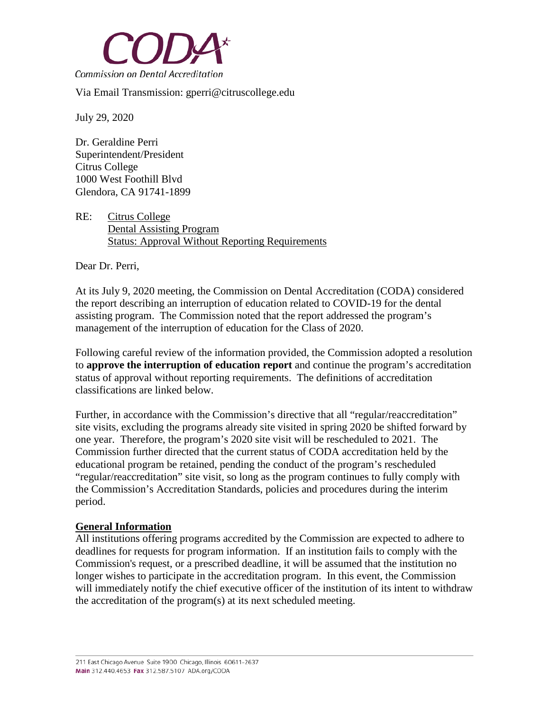

Via Email Transmission: gperri@citruscollege.edu

July 29, 2020

Dr. Geraldine Perri Superintendent/President Citrus College 1000 West Foothill Blvd Glendora, CA 91741-1899

RE: Citrus College Dental Assisting Program Status: Approval Without Reporting Requirements

Dear Dr. Perri,

At its July 9, 2020 meeting, the Commission on Dental Accreditation (CODA) considered the report describing an interruption of education related to COVID-19 for the dental assisting program. The Commission noted that the report addressed the program's management of the interruption of education for the Class of 2020.

Following careful review of the information provided, the Commission adopted a resolution to **approve the interruption of education report** and continue the program's accreditation status of approval without reporting requirements. The definitions of accreditation classifications are linked below.

Further, in accordance with the Commission's directive that all "regular/reaccreditation" site visits, excluding the programs already site visited in spring 2020 be shifted forward by one year. Therefore, the program's 2020 site visit will be rescheduled to 2021. The Commission further directed that the current status of CODA accreditation held by the educational program be retained, pending the conduct of the program's rescheduled "regular/reaccreditation" site visit, so long as the program continues to fully comply with the Commission's Accreditation Standards, policies and procedures during the interim period.

## **General Information**

All institutions offering programs accredited by the Commission are expected to adhere to deadlines for requests for program information. If an institution fails to comply with the Commission's request, or a prescribed deadline, it will be assumed that the institution no longer wishes to participate in the accreditation program. In this event, the Commission will immediately notify the chief executive officer of the institution of its intent to withdraw the accreditation of the program(s) at its next scheduled meeting.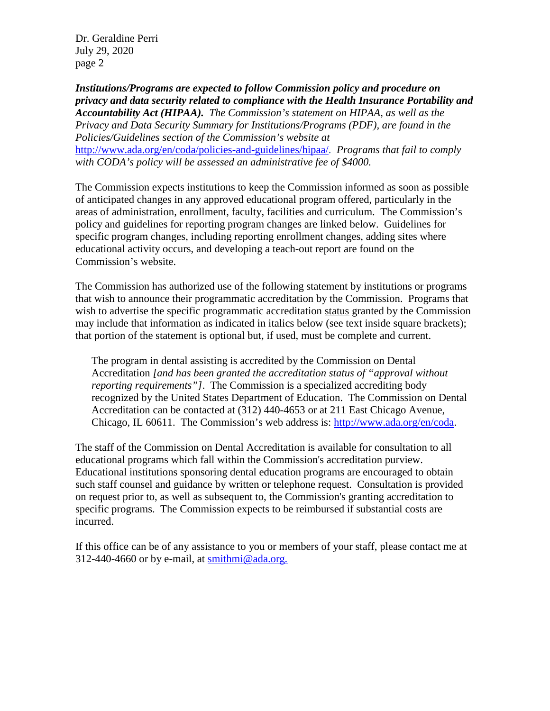Dr. Geraldine Perri July 29, 2020 page 2

*Institutions/Programs are expected to follow Commission policy and procedure on privacy and data security related to compliance with the Health Insurance Portability and Accountability Act (HIPAA). The Commission's statement on HIPAA, as well as the Privacy and Data Security Summary for Institutions/Programs (PDF), are found in the Policies/Guidelines section of the Commission's website at*  [http://www.ada.org/en/coda/policies-and-guidelines/hipaa/.](http://www.ada.org/en/coda/policies-and-guidelines/hipaa/) *Programs that fail to comply with CODA's policy will be assessed an administrative fee of \$4000.*

The Commission expects institutions to keep the Commission informed as soon as possible of anticipated changes in any approved educational program offered, particularly in the areas of administration, enrollment, faculty, facilities and curriculum. The Commission's policy and guidelines for reporting program changes are linked below. Guidelines for specific program changes, including reporting enrollment changes, adding sites where educational activity occurs, and developing a teach-out report are found on the Commission's website.

The Commission has authorized use of the following statement by institutions or programs that wish to announce their programmatic accreditation by the Commission. Programs that wish to advertise the specific programmatic accreditation status granted by the Commission may include that information as indicated in italics below (see text inside square brackets); that portion of the statement is optional but, if used, must be complete and current.

The program in dental assisting is accredited by the Commission on Dental Accreditation *[and has been granted the accreditation status of "approval without reporting requirements*"]. The Commission is a specialized accrediting body recognized by the United States Department of Education. The Commission on Dental Accreditation can be contacted at (312) 440-4653 or at 211 East Chicago Avenue, Chicago, IL 60611. The Commission's web address is: [http://www.ada.org/en/coda.](http://www.ada.org/en/coda)

The staff of the Commission on Dental Accreditation is available for consultation to all educational programs which fall within the Commission's accreditation purview. Educational institutions sponsoring dental education programs are encouraged to obtain such staff counsel and guidance by written or telephone request. Consultation is provided on request prior to, as well as subsequent to, the Commission's granting accreditation to specific programs. The Commission expects to be reimbursed if substantial costs are incurred.

If this office can be of any assistance to you or members of your staff, please contact me at 312-440-4660 or by e-mail, at  $\text{smithmi@ada.org.}$